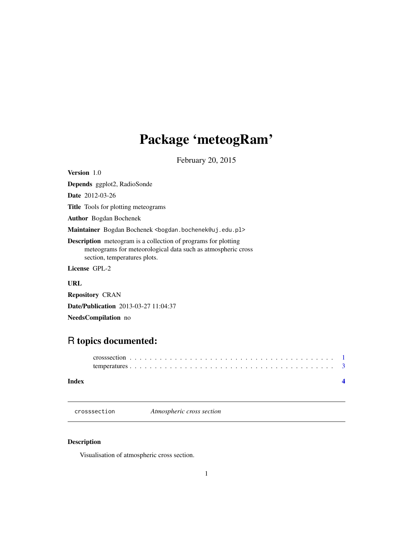## <span id="page-0-0"></span>Package 'meteogRam'

February 20, 2015

Version 1.0

Depends ggplot2, RadioSonde Date 2012-03-26 Title Tools for plotting meteograms Author Bogdan Bochenek Maintainer Bogdan Bochenek <bogdan.bochenek@uj.edu.pl> Description meteogram is a collection of programs for plotting meteograms for meteorological data such as atmospheric cross section, temperatures plots. License GPL-2 URL

Repository CRAN

Date/Publication 2013-03-27 11:04:37

NeedsCompilation no

### R topics documented:

#### **Index** [4](#page-3-0)

crosssection *Atmospheric cross section*

#### Description

Visualisation of atmospheric cross section.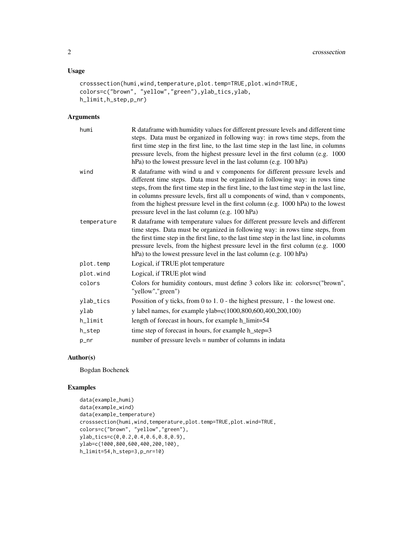#### Usage

```
crosssection(humi,wind,temperature,plot.temp=TRUE,plot.wind=TRUE,
colors=c("brown", "yellow","green"),ylab_tics,ylab,
h_limit,h_step,p_nr)
```
#### Arguments

| humi        | R dataframe with humidity values for different pressure levels and different time<br>steps. Data must be organized in following way: in rows time steps, from the<br>first time step in the first line, to the last time step in the last line, in columns<br>pressure levels, from the highest pressure level in the first column (e.g. 1000<br>hPa) to the lowest pressure level in the last column (e.g. 100 hPa)                                                               |
|-------------|------------------------------------------------------------------------------------------------------------------------------------------------------------------------------------------------------------------------------------------------------------------------------------------------------------------------------------------------------------------------------------------------------------------------------------------------------------------------------------|
| wind        | R dataframe with wind u and v components for different pressure levels and<br>different time steps. Data must be organized in following way: in rows time<br>steps, from the first time step in the first line, to the last time step in the last line,<br>in columns pressure levels, first all u components of wind, than v components,<br>from the highest pressure level in the first column (e.g. 1000 hPa) to the lowest<br>pressure level in the last column (e.g. 100 hPa) |
| temperature | R data frame with temperature values for different pressure levels and different<br>time steps. Data must be organized in following way: in rows time steps, from<br>the first time step in the first line, to the last time step in the last line, in columns<br>pressure levels, from the highest pressure level in the first column (e.g. 1000)<br>hPa) to the lowest pressure level in the last column (e.g. 100 hPa)                                                          |
| plot.temp   | Logical, if TRUE plot temperature                                                                                                                                                                                                                                                                                                                                                                                                                                                  |
| plot.wind   | Logical, if TRUE plot wind                                                                                                                                                                                                                                                                                                                                                                                                                                                         |
| colors      | Colors for humidity contours, must define 3 colors like in: colors=c("brown",<br>"yellow","green")                                                                                                                                                                                                                                                                                                                                                                                 |
| ylab_tics   | Possition of y ticks, from 0 to 1. $0$ - the highest pressure, 1 - the lowest one.                                                                                                                                                                                                                                                                                                                                                                                                 |
| ylab        | y label names, for example ylab=c(1000,800,600,400,200,100)                                                                                                                                                                                                                                                                                                                                                                                                                        |
| h_limit     | length of forecast in hours, for example h_limit=54                                                                                                                                                                                                                                                                                                                                                                                                                                |
| h_step      | time step of forecast in hours, for example h_step=3                                                                                                                                                                                                                                                                                                                                                                                                                               |
| p_nr        | number of pressure levels = number of columns in indata                                                                                                                                                                                                                                                                                                                                                                                                                            |

#### Author(s)

Bogdan Bochenek

#### Examples

```
data(example_humi)
data(example_wind)
data(example_temperature)
crosssection(humi,wind,temperature,plot.temp=TRUE,plot.wind=TRUE,
colors=c("brown", "yellow","green"),
ylab_tics=c(0,0.2,0.4,0.6,0.8,0.9),
ylab=c(1000,800,600,400,200,100),
h_limit=54,h_step=3,p_nr=10)
```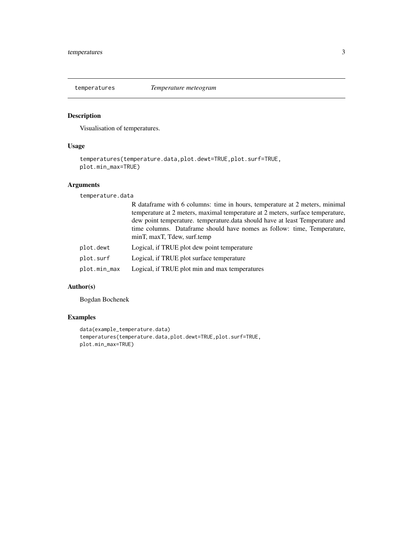<span id="page-2-0"></span>

#### Description

Visualisation of temperatures.

#### Usage

```
temperatures(temperature.data,plot.dewt=TRUE,plot.surf=TRUE,
plot.min_max=TRUE)
```
#### Arguments

temperature.data

|           | R data frame with 6 columns: time in hours, temperature at 2 meters, minimal   |
|-----------|--------------------------------------------------------------------------------|
|           | temperature at 2 meters, maximal temperature at 2 meters, surface temperature, |
|           | dew point temperature, temperature, data should have at least Temperature and  |
|           | time columns. Dataframe should have nomes as follow: time, Temperature,        |
|           | minT, maxT, Tdew, surf.temp                                                    |
| plot.dewt | Logical, if TRUE plot dew point temperature                                    |

plot.min\_max Logical, if TRUE plot min and max temperatures

#### Author(s)

Bogdan Bochenek

#### Examples

```
data(example_temperature.data)
temperatures(temperature.data,plot.dewt=TRUE,plot.surf=TRUE,
plot.min_max=TRUE)
```